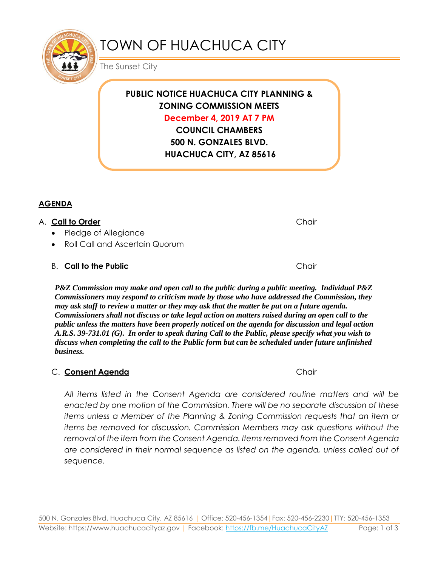

# TOWN OF HUACHUCA CITY

The Sunset City

**PUBLIC NOTICE HUACHUCA CITY PLANNING & ZONING COMMISSION MEETS December 4, 2019 AT 7 PM**

> **COUNCIL CHAMBERS 500 N. GONZALES BLVD. HUACHUCA CITY, AZ 85616**

## **AGENDA**

#### A. **Call to Order** Chair

- Pledge of Allegiance
- Roll Call and Ascertain Quorum

# B. **Call to the Public Chair** Chair

*P&Z Commission may make and open call to the public during a public meeting. Individual P&Z Commissioners may respond to criticism made by those who have addressed the Commission, they may ask staff to review a matter or they may ask that the matter be put on a future agenda. Commissioners shall not discuss or take legal action on matters raised during an open call to the public unless the matters have been properly noticed on the agenda for discussion and legal action A.R.S. 39-731.01 (G). In order to speak during Call to the Public, please specify what you wish to discuss when completing the call to the Public form but can be scheduled under future unfinished business.*

## C. Consent Agenda **Chair** Chair

*All items listed in the Consent Agenda are considered routine matters and will be enacted by one motion of the Commission. There will be no separate discussion of these items unless a Member of the Planning & Zoning Commission requests that an item or items be removed for discussion. Commission Members may ask questions without the removal of the item from the Consent Agenda. Items removed from the Consent Agenda are considered in their normal sequence as listed on the agenda, unless called out of sequence.*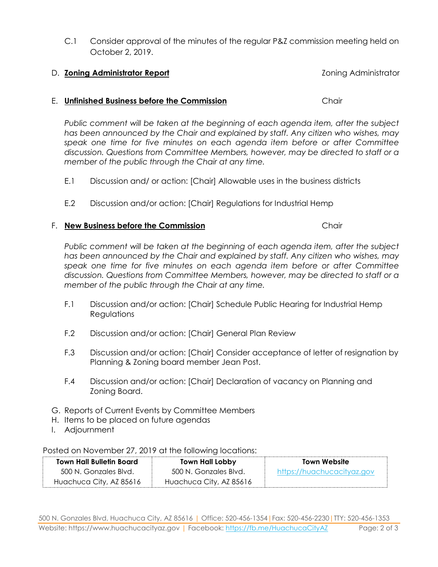500 N. Gonzales Blvd, Huachuca City, AZ 85616 | Office: 520-456-1354|Fax: 520-456-2230|TTY: 520-456-1353 Website: https://www.huachucacityaz.gov | Facebook:<https://fb.me/HuachucaCityAZ> Page: 2 of 3

C.1 Consider approval of the minutes of the regular P&Z commission meeting held on October 2, 2019.

# D. **Zoning Administrator Report** Zoning Administrator

#### E. **Unfinished Business before the Commission** Chair

*Public comment will be taken at the beginning of each agenda item, after the subject has been announced by the Chair and explained by staff. Any citizen who wishes, may speak one time for five minutes on each agenda item before or after Committee discussion. Questions from Committee Members, however, may be directed to staff or a member of the public through the Chair at any time.*

- E.1 Discussion and/ or action: [Chair] Allowable uses in the business districts
- E.2 Discussion and/or action: [Chair] Regulations for Industrial Hemp

# F. **New Business before the Commission Chair**

*Public comment will be taken at the beginning of each agenda item, after the subject has been announced by the Chair and explained by staff. Any citizen who wishes, may speak one time for five minutes on each agenda item before or after Committee discussion. Questions from Committee Members, however, may be directed to staff or a member of the public through the Chair at any time.*

- F.1 Discussion and/or action: [Chair] Schedule Public Hearing for Industrial Hemp **Regulations**
- F.2 Discussion and/or action: [Chair] General Plan Review
- F.3 Discussion and/or action: [Chair] Consider acceptance of letter of resignation by Planning & Zoning board member Jean Post.
- F.4 Discussion and/or action: [Chair] Declaration of vacancy on Planning and Zoning Board.
- G. Reports of Current Events by Committee Members
- H. Items to be placed on future agendas
- I. Adjournment

## Posted on November 27, 2019 at the following locations:

| <b>Town Hall Bulletin Board</b> | <b>Town Hall Lobby</b>  | <b>Town Website</b>        |
|---------------------------------|-------------------------|----------------------------|
| 500 N. Gonzales Blvd.           | 500 N. Gonzales Blvd.   | https://huachucacityaz.gov |
| Huachuca City, AZ 85616         | Huachuca City, AZ 85616 |                            |